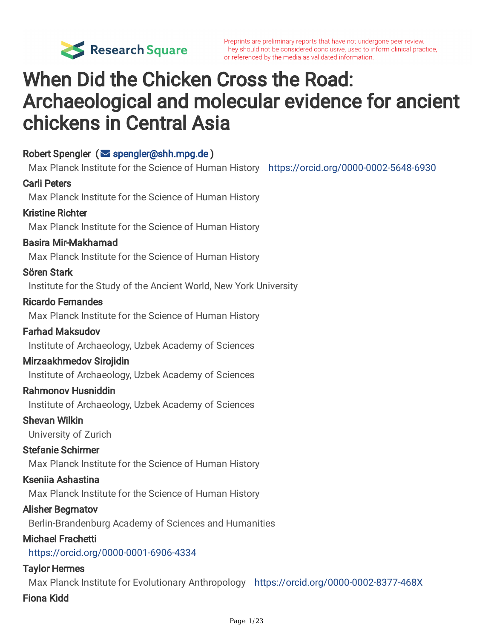

Preprints are preliminary reports that have not undergone peer review. They should not be considered conclusive, used to inform clinical practice, or referenced by the media as validated information.

# When Did the Chicken Cross the Road: Archaeological and molecular evidence for ancient chickens in Central Asia

### Robert Spengler ( $\leq$  [spengler@shh.mpg.de](mailto:spengler@shh.mpg.de))

Max Planck Institute for the Science of Human History <https://orcid.org/0000-0002-5648-6930>

#### Carli Peters

Max Planck Institute for the Science of Human History

#### Kristine Richter

Max Planck Institute for the Science of Human History

#### Basira Mir-Makhamad

Max Planck Institute for the Science of Human History

#### Sören Stark

Institute for the Study of the Ancient World, New York University

#### Ricardo Fernandes

Max Planck Institute for the Science of Human History

#### Farhad Maksudov

Institute of Archaeology, Uzbek Academy of Sciences

#### Mirzaakhmedov Sirojidin

Institute of Archaeology, Uzbek Academy of Sciences

#### Rahmonov Husniddin

Institute of Archaeology, Uzbek Academy of Sciences

#### Shevan Wilkin

University of Zurich

#### Stefanie Schirmer

Max Planck Institute for the Science of Human History

#### Kseniia Ashastina

Max Planck Institute for the Science of Human History

#### Alisher Begmatov

Berlin-Brandenburg Academy of Sciences and Humanities

#### Michael Frachetti

<https://orcid.org/0000-0001-6906-4334>

#### Taylor Hermes

Max Planck Institute for Evolutionary Anthropology <https://orcid.org/0000-0002-8377-468X>

#### Fiona Kidd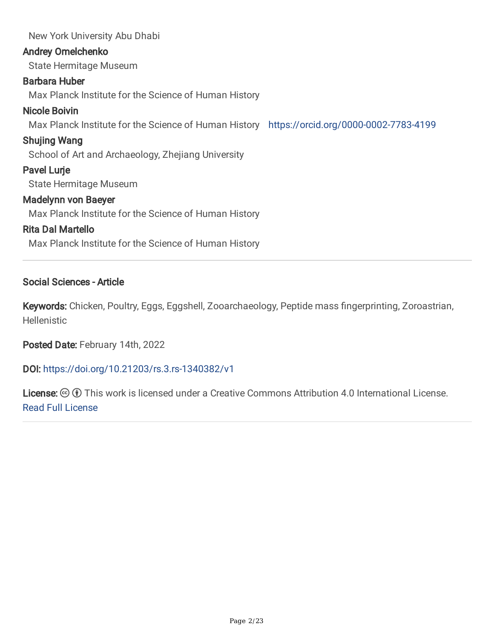New York University Abu Dhabi Andrey Omelchenko State Hermitage Museum Barbara Huber Max Planck Institute for the Science of Human History Nicole Boivin Max Planck Institute for the Science of Human History <https://orcid.org/0000-0002-7783-4199> Shujing Wang School of Art and Archaeology, Zhejiang University Pavel Lurje State Hermitage Museum Madelynn von Baeyer Max Planck Institute for the Science of Human History Rita Dal Martello Max Planck Institute for the Science of Human History

Social Sciences - Article

Keywords: Chicken, Poultry, Eggs, Eggshell, Zooarchaeology, Peptide mass fingerprinting, Zoroastrian, **Hellenistic** 

Posted Date: February 14th, 2022

DOI: <https://doi.org/10.21203/rs.3.rs-1340382/v1>

License:  $\odot$  0 This work is licensed under a Creative Commons Attribution 4.0 International License. Read Full [License](https://creativecommons.org/licenses/by/4.0/)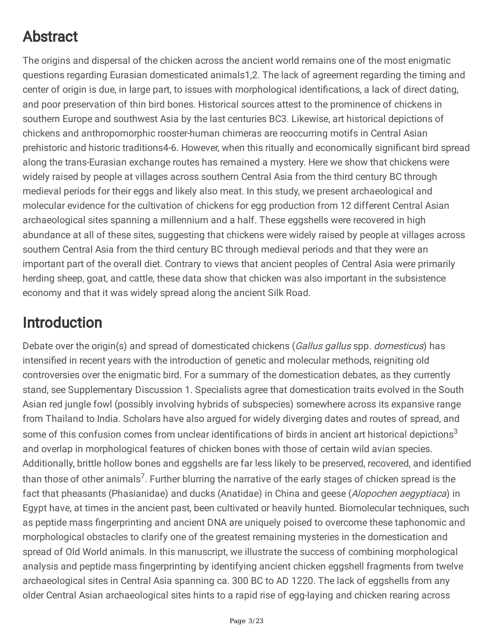## Abstract

The origins and dispersal of the chicken across the ancient world remains one of the most enigmatic questions regarding Eurasian domesticated animals1,2. The lack of agreement regarding the timing and center of origin is due, in large part, to issues with morphological identifications, a lack of direct dating, and poor preservation of thin bird bones. Historical sources attest to the prominence of chickens in southern Europe and southwest Asia by the last centuries BC3. Likewise, art historical depictions of chickens and anthropomorphic rooster-human chimeras are reoccurring motifs in Central Asian prehistoric and historic traditions4-6. However, when this ritually and economically significant bird spread along the trans-Eurasian exchange routes has remained a mystery. Here we show that chickens were widely raised by people at villages across southern Central Asia from the third century BC through medieval periods for their eggs and likely also meat. In this study, we present archaeological and molecular evidence for the cultivation of chickens for egg production from 12 different Central Asian archaeological sites spanning a millennium and a half. These eggshells were recovered in high abundance at all of these sites, suggesting that chickens were widely raised by people at villages across southern Central Asia from the third century BC through medieval periods and that they were an important part of the overall diet. Contrary to views that ancient peoples of Central Asia were primarily herding sheep, goat, and cattle, these data show that chicken was also important in the subsistence economy and that it was widely spread along the ancient Silk Road.

## Introduction

Debate over the origin(s) and spread of domesticated chickens (Gallus gallus spp. domesticus) has intensified in recent years with the introduction of genetic and molecular methods, reigniting old controversies over the enigmatic bird. For a summary of the domestication debates, as they currently stand, see Supplementary Discussion 1. Specialists agree that domestication traits evolved in the South Asian red jungle fowl (possibly involving hybrids of subspecies) somewhere across its expansive range from Thailand to India. Scholars have also argued for widely diverging dates and routes of spread, and some of this confusion comes from unclear identifications of birds in ancient art historical depictions<sup>3</sup> and overlap in morphological features of chicken bones with those of certain wild avian species. Additionally, brittle hollow bones and eggshells are far less likely to be preserved, recovered, and identified than those of other animals<sup>7</sup>. Further blurring the narrative of the early stages of chicken spread is the fact that pheasants (Phasianidae) and ducks (Anatidae) in China and geese (Alopochen aegyptiaca) in Egypt have, at times in the ancient past, been cultivated or heavily hunted. Biomolecular techniques, such as peptide mass fingerprinting and ancient DNA are uniquely poised to overcome these taphonomic and morphological obstacles to clarify one of the greatest remaining mysteries in the domestication and spread of Old World animals. In this manuscript, we illustrate the success of combining morphological analysis and peptide mass fingerprinting by identifying ancient chicken eggshell fragments from twelve archaeological sites in Central Asia spanning ca. 300 BC to AD 1220. The lack of eggshells from any older Central Asian archaeological sites hints to a rapid rise of egg-laying and chicken rearing across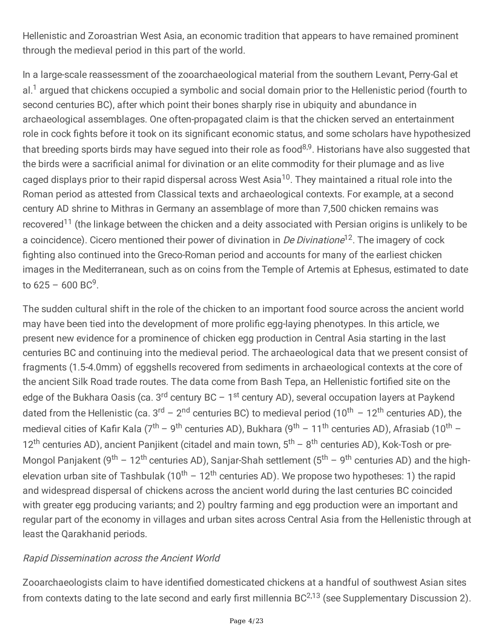Hellenistic and Zoroastrian West Asia, an economic tradition that appears to have remained prominent through the medieval period in this part of the world.

In a large-scale reassessment of the zooarchaeological material from the southern Levant, Perry-Gal et al.<sup>1</sup> argued that chickens occupied a symbolic and social domain prior to the Hellenistic period (fourth to second centuries BC), after which point their bones sharply rise in ubiquity and abundance in archaeological assemblages. One often-propagated claim is that the chicken served an entertainment role in cock fights before it took on its significant economic status, and some scholars have hypothesized that breeding sports birds may have segued into their role as food<sup>8,9</sup>. Historians have also suggested that the birds were a sacrificial animal for divination or an elite commodity for their plumage and as live caged displays prior to their rapid dispersal across West Asia<sup>10</sup>. They maintained a ritual role into the Roman period as attested from Classical texts and archaeological contexts. For example, at a second century AD shrine to Mithras in Germany an assemblage of more than 7,500 chicken remains was recovered<sup>11</sup> (the linkage between the chicken and a deity associated with Persian origins is unlikely to be a coincidence). Cicero mentioned their power of divination in *De Divinatione*<sup>12</sup>. The imagery of cock fighting also continued into the Greco-Roman period and accounts for many of the earliest chicken images in the Mediterranean, such as on coins from the Temple of Artemis at Ephesus, estimated to date to 625 – 600 BC<sup>9</sup>.

The sudden cultural shift in the role of the chicken to an important food source across the ancient world may have been tied into the development of more prolific egg-laying phenotypes. In this article, we present new evidence for a prominence of chicken egg production in Central Asia starting in the last centuries BC and continuing into the medieval period. The archaeological data that we present consist of fragments (1.5-4.0mm) of eggshells recovered from sediments in archaeological contexts at the core of the ancient Silk Road trade routes. The data come from Bash Tepa, an Hellenistic fortified site on the edge of the Bukhara Oasis (ca. 3<sup>rd</sup> century BC - 1<sup>st</sup> century AD), several occupation layers at Paykend dated from the Hellenistic (ca. 3<sup>rd</sup> - 2<sup>nd</sup> centuries BC) to medieval period (10<sup>th</sup> - 12<sup>th</sup> centuries AD), the medieval cities of Kafir Kala (7<sup>th</sup> – 9<sup>th</sup> centuries AD), Bukhara (9<sup>th</sup> – 11<sup>th</sup> centuries AD), Afrasiab (10<sup>th</sup> – 12<sup>th</sup> centuries AD), ancient Panjikent (citadel and main town, 5<sup>th</sup> - 8<sup>th</sup> centuries AD), Kok-Tosh or pre-Mongol Panjakent (9<sup>th</sup> - 12<sup>th</sup> centuries AD), Sanjar-Shah settlement (5<sup>th</sup> - 9<sup>th</sup> centuries AD) and the highelevation urban site of Tashbulak (10<sup>th</sup> - 12<sup>th</sup> centuries AD). We propose two hypotheses: 1) the rapid and widespread dispersal of chickens across the ancient world during the last centuries BC coincided with greater egg producing variants; and 2) poultry farming and egg production were an important and regular part of the economy in villages and urban sites across Central Asia from the Hellenistic through at least the Qarakhanid periods.

#### Rapid Dissemination across the Ancient World

Zooarchaeologists claim to have identified domesticated chickens at a handful of southwest Asian sites from contexts dating to the late second and early first millennia BC<sup>2,13</sup> (see Supplementary Discussion 2).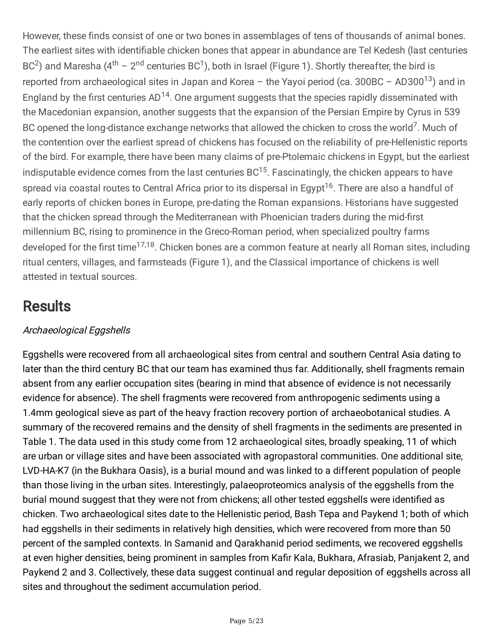However, these finds consist of one or two bones in assemblages of tens of thousands of animal bones. The earliest sites with identifiable chicken bones that appear in abundance are Tel Kedesh (last centuries BC<sup>2</sup>) and Maresha (4<sup>th</sup> - 2<sup>nd</sup> centuries BC<sup>1</sup>), both in Israel (Figure 1). Shortly thereafter, the bird is reported from archaeological sites in Japan and Korea - the Yayoi period (ca. 300BC - AD300<sup>13</sup>) and in England by the first centuries  $AD^{14}$ . One argument suggests that the species rapidly disseminated with the Macedonian expansion, another suggests that the expansion of the Persian Empire by Cyrus in 539 BC opened the long-distance exchange networks that allowed the chicken to cross the world<sup>7</sup>. Much of the contention over the earliest spread of chickens has focused on the reliability of pre-Hellenistic reports of the bird. For example, there have been many claims of pre-Ptolemaic chickens in Egypt, but the earliest indisputable evidence comes from the last centuries  $BC^{15}$ . Fascinatingly, the chicken appears to have spread via coastal routes to Central Africa prior to its dispersal in Egypt<sup>16</sup>. There are also a handful of early reports of chicken bones in Europe, pre-dating the Roman expansions. Historians have suggested that the chicken spread through the Mediterranean with Phoenician traders during the mid-first millennium BC, rising to prominence in the Greco-Roman period, when specialized poultry farms developed for the first time<sup>17,18</sup>. Chicken bones are a common feature at nearly all Roman sites, including ritual centers, villages, and farmsteads (Figure 1), and the Classical importance of chickens is well attested in textual sources.

## Results

## Archaeological Eggshells

Eggshells were recovered from all archaeological sites from central and southern Central Asia dating to later than the third century BC that our team has examined thus far. Additionally, shell fragments remain absent from any earlier occupation sites (bearing in mind that absence of evidence is not necessarily evidence for absence). The shell fragments were recovered from anthropogenic sediments using a 1.4mm geological sieve as part of the heavy fraction recovery portion of archaeobotanical studies. A summary of the recovered remains and the density of shell fragments in the sediments are presented in Table 1. The data used in this study come from 12 archaeological sites, broadly speaking, 11 of which are urban or village sites and have been associated with agropastoral communities. One additional site, LVD-HA-K7 (in the Bukhara Oasis), is a burial mound and was linked to a different population of people than those living in the urban sites. Interestingly, palaeoproteomics analysis of the eggshells from the burial mound suggest that they were not from chickens; all other tested eggshells were identified as chicken. Two archaeological sites date to the Hellenistic period, Bash Tepa and Paykend 1; both of which had eggshells in their sediments in relatively high densities, which were recovered from more than 50 percent of the sampled contexts. In Samanid and Qarakhanid period sediments, we recovered eggshells at even higher densities, being prominent in samples from Kafir Kala, Bukhara, Afrasiab, Panjakent 2, and Paykend 2 and 3. Collectively, these data suggest continual and regular deposition of eggshells across all sites and throughout the sediment accumulation period.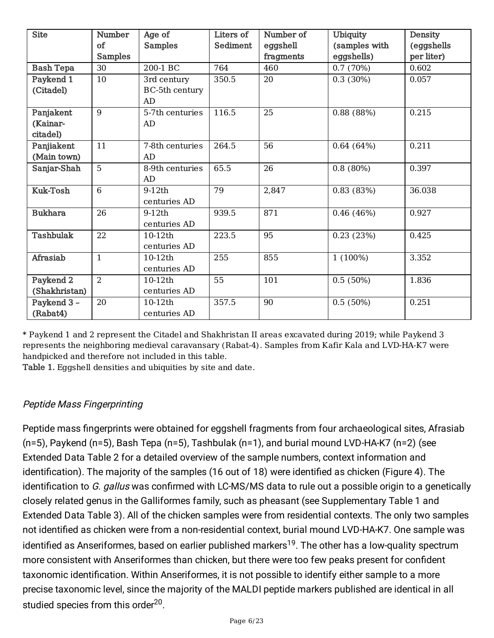| <b>Site</b>                       | Number<br>of<br><b>Samples</b> | Age of<br><b>Samples</b>            | Liters of<br>Sediment | Number of<br>eggshell<br>fragments | <b>Ubiquity</b><br>(samples with<br>eggshells) | Density<br>(eggshells<br>per liter) |
|-----------------------------------|--------------------------------|-------------------------------------|-----------------------|------------------------------------|------------------------------------------------|-------------------------------------|
| <b>Bash Tepa</b>                  | 30                             | 200-1 BC                            | 764                   | 460                                | 0.7(70%)                                       | 0.602                               |
| Paykend 1<br>(Citadel)            | 10                             | 3rd century<br>BC-5th century<br>AD | 350.5                 | 20                                 | 0.3(30%)                                       | 0.057                               |
| Panjakent<br>(Kainar-<br>citadel) | 9                              | 5-7th centuries<br>AD               | 116.5                 | 25                                 | 0.88(88%)                                      | 0.215                               |
| Panjiakent<br>(Main town)         | 11                             | 7-8th centuries<br>AD               | 264.5                 | 56                                 | 0.64(64%)                                      | 0.211                               |
| Sanjar-Shah                       | $\overline{5}$                 | 8-9th centuries<br>AD               | 65.5                  | $\overline{26}$                    | 0.8(80%)                                       | 0.397                               |
| Kuk-Tosh                          | 6                              | $9-12th$<br>centuries AD            | 79                    | 2,847                              | 0.83(83%)                                      | 36.038                              |
| <b>Bukhara</b>                    | 26                             | 9-12th<br>centuries AD              | 939.5                 | 871                                | 0.46(46%)                                      | 0.927                               |
| <b>Tashbulak</b>                  | 22                             | 10-12th<br>centuries AD             | 223.5                 | 95                                 | 0.23(23%)                                      | 0.425                               |
| Afrasiab                          | $\mathbf{1}$                   | 10-12th<br>centuries AD             | 255                   | 855                                | 1 (100%)                                       | 3.352                               |
| Paykend 2<br>(Shakhristan)        | $\overline{2}$                 | 10-12th<br>centuries AD             | 55                    | 101                                | 0.5(50%)                                       | 1.836                               |
| Paykend 3 -<br>(Rabat4)           | 20                             | $10-12th$<br>centuries AD           | 357.5                 | 90                                 | 0.5(50%)                                       | 0.251                               |

\* Paykend 1 and 2 represent the Citadel and Shakhristan II areas excavated during 2019; while Paykend 3 represents the neighboring medieval caravansary (Rabat-4). Samples from Kafir Kala and LVD-HA-K7 were handpicked and therefore not included in this table.

Table 1. Eggshell densities and ubiquities by site and date.

### Peptide Mass Fingerprinting

Peptide mass fingerprints were obtained for eggshell fragments from four archaeological sites, Afrasiab (n=5), Paykend (n=5), Bash Tepa (n=5), Tashbulak (n=1), and burial mound LVD-HA-K7 (n=2) (see Extended Data Table 2 for a detailed overview of the sample numbers, context information and identification). The majority of the samples (16 out of 18) were identified as chicken (Figure 4). The identification to G. gallus was confirmed with LC-MS/MS data to rule out a possible origin to a genetically closely related genus in the Galliformes family, such as pheasant (see Supplementary Table 1 and Extended Data Table 3). All of the chicken samples were from residential contexts. The only two samples not identified as chicken were from a non-residential context, burial mound LVD-HA-K7. One sample was identified as Anseriformes, based on earlier published markers<sup>19</sup>. The other has a low-quality spectrum more consistent with Anseriformes than chicken, but there were too few peaks present for confident taxonomic identification. Within Anseriformes, it is not possible to identify either sample to a more precise taxonomic level, since the majority of the MALDI peptide markers published are identical in all studied species from this order<sup>20</sup>.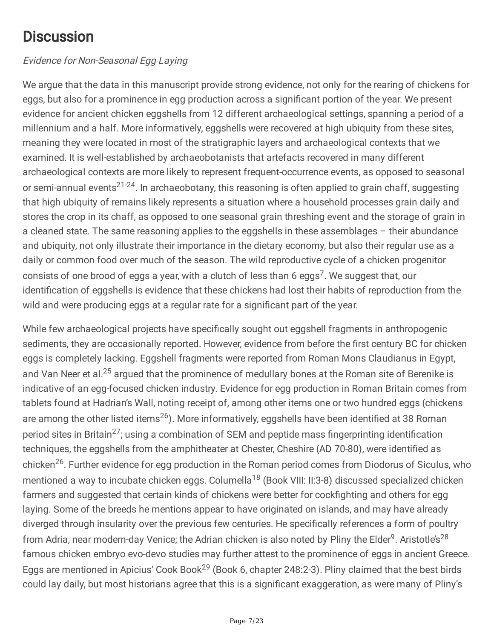## **Discussion**

## Evidence for Non-Seasonal Egg Laying

We argue that the data in this manuscript provide strong evidence, not only for the rearing of chickens for eggs, but also for a prominence in egg production across a significant portion of the year. We present evidence for ancient chicken eggshells from 12 different archaeological settings, spanning a period of a millennium and a half. More informatively, eggshells were recovered at high ubiquity from these sites, meaning they were located in most of the stratigraphic layers and archaeological contexts that we examined. It is well-established by archaeobotanists that artefacts recovered in many different archaeological contexts are more likely to represent frequent-occurrence events, as opposed to seasonal or semi-annual events<sup>21-24</sup>. In archaeobotany, this reasoning is often applied to grain chaff, suggesting that high ubiquity of remains likely represents a situation where a household processes grain daily and stores the crop in its chaff, as opposed to one seasonal grain threshing event and the storage of grain in a cleaned state. The same reasoning applies to the eggshells in these assemblages – their abundance and ubiquity, not only illustrate their importance in the dietary economy, but also their regular use as a daily or common food over much of the season. The wild reproductive cycle of a chicken progenitor consists of one brood of eggs a year, with a clutch of less than 6 eggs<sup>7</sup>. We suggest that, our identification of eggshells is evidence that these chickens had lost their habits of reproduction from the wild and were producing eggs at a regular rate for a significant part of the year.

While few archaeological projects have specifically sought out eggshell fragments in anthropogenic sediments, they are occasionally reported. However, evidence from before the first century BC for chicken eggs is completely lacking. Eggshell fragments were reported from Roman Mons Claudianus in Egypt, and Van Neer et al.<sup>25</sup> argued that the prominence of medullary bones at the Roman site of Berenike is indicative of an egg-focused chicken industry. Evidence for egg production in Roman Britain comes from tablets found at Hadrian's Wall, noting receipt of, among other items one or two hundred eggs (chickens are among the other listed items<sup>26</sup>). More informatively, eggshells have been identified at 38 Roman period sites in Britain<sup>27</sup>; using a combination of SEM and peptide mass fingerprinting identification techniques, the eggshells from the amphitheater at Chester, Cheshire (AD 70-80), were identified as chicken<sup>26</sup>. Further evidence for egg production in the Roman period comes from Diodorus of Siculus, who mentioned a way to incubate chicken eggs. Columella<sup>18</sup> (Book VIII: II:3-8) discussed specialized chicken farmers and suggested that certain kinds of chickens were better for cockfighting and others for egg laying. Some of the breeds he mentions appear to have originated on islands, and may have already diverged through insularity over the previous few centuries. He specifically references a form of poultry from Adria, near modern-day Venice; the Adrian chicken is also noted by Pliny the Elder $^9$ . Aristotle's $^{28}$ famous chicken embryo evo-devo studies may further attest to the prominence of eggs in ancient Greece. Eggs are mentioned in Apicius' Cook Book<sup>29</sup> (Book 6, chapter 248:2-3). Pliny claimed that the best birds could lay daily, but most historians agree that this is a significant exaggeration, as were many of Pliny's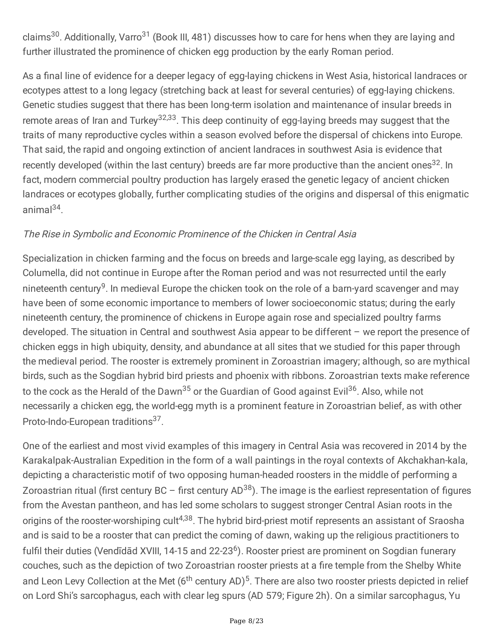claims<sup>30</sup>. Additionally, Varro<sup>31</sup> (Book III, 481) discusses how to care for hens when they are laying and further illustrated the prominence of chicken egg production by the early Roman period.

As a final line of evidence for a deeper legacy of egg-laying chickens in West Asia, historical landraces or ecotypes attest to a long legacy (stretching back at least for several centuries) of egg-laying chickens. Genetic studies suggest that there has been long-term isolation and maintenance of insular breeds in remote areas of Iran and Turkey<sup>32,33</sup>. This deep continuity of egg-laying breeds may suggest that the traits of many reproductive cycles within a season evolved before the dispersal of chickens into Europe. That said, the rapid and ongoing extinction of ancient landraces in southwest Asia is evidence that recently developed (within the last century) breeds are far more productive than the ancient ones<sup>32</sup>. In fact, modern commercial poultry production has largely erased the genetic legacy of ancient chicken landraces or ecotypes globally, further complicating studies of the origins and dispersal of this enigmatic animal<sup>34</sup>.

## The Rise in Symbolic and Economic Prominence of the Chicken in Central Asia

Specialization in chicken farming and the focus on breeds and large-scale egg laying, as described by Columella, did not continue in Europe after the Roman period and was not resurrected until the early nineteenth century<sup>9</sup>. In medieval Europe the chicken took on the role of a barn-yard scavenger and may have been of some economic importance to members of lower socioeconomic status; during the early nineteenth century, the prominence of chickens in Europe again rose and specialized poultry farms developed. The situation in Central and southwest Asia appear to be different – we report the presence of chicken eggs in high ubiquity, density, and abundance at all sites that we studied for this paper through the medieval period. The rooster is extremely prominent in Zoroastrian imagery; although, so are mythical birds, such as the Sogdian hybrid bird priests and phoenix with ribbons. Zoroastrian texts make reference to the cock as the Herald of the Dawn<sup>35</sup> or the Guardian of Good against Evil<sup>36</sup>. Also, while not necessarily a chicken egg, the world-egg myth is a prominent feature in Zoroastrian belief, as with other Proto-Indo-European traditions<sup>37</sup>.

One of the earliest and most vivid examples of this imagery in Central Asia was recovered in 2014 by the Karakalpak-Australian Expedition in the form of a wall paintings in the royal contexts of Akchakhan-kala, depicting a characteristic motif of two opposing human-headed roosters in the middle of performing a Zoroastrian ritual (first century BC - first century AD $^{38}$ ). The image is the earliest representation of figures from the Avestan pantheon, and has led some scholars to suggest stronger Central Asian roots in the origins of the rooster-worshiping cult<sup>4,38</sup>. The hybrid bird-priest motif represents an assistant of Sraosha and is said to be a rooster that can predict the coming of dawn, waking up the religious practitioners to fulfil their duties (Vendīdād XVIII, 14-15 and 22-23<sup>6</sup>). Rooster priest are prominent on Sogdian funerary couches, such as the depiction of two Zoroastrian rooster priests at a fire temple from the Shelby White and Leon Levy Collection at the Met (6<sup>th</sup> century AD)<sup>5</sup>. There are also two rooster priests depicted in relief on Lord Shi's sarcophagus, each with clear leg spurs (AD 579; Figure 2h). On a similar sarcophagus, Yu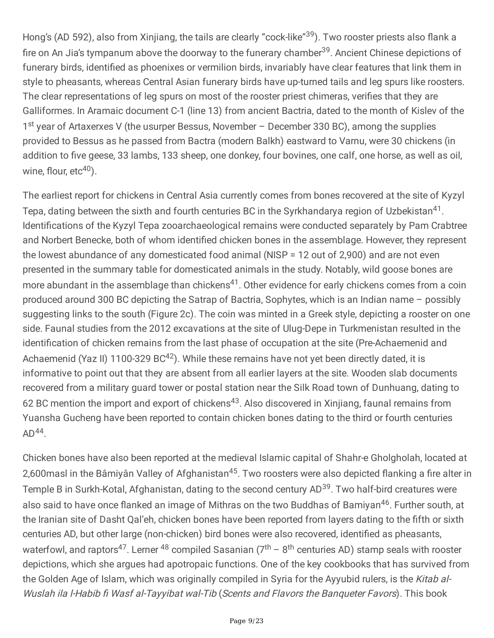Hong's (AD 592), also from Xinjiang, the tails are clearly "cock-like"<sup>39</sup>). Two rooster priests also flank a fire on An Jia's tympanum above the doorway to the funerary chamber<sup>39</sup>. Ancient Chinese depictions of funerary birds, identified as phoenixes or vermilion birds, invariably have clear features that link them in style to pheasants, whereas Central Asian funerary birds have up-turned tails and leg spurs like roosters. The clear representations of leg spurs on most of the rooster priest chimeras, verifies that they are Galliformes. In Aramaic document C-1 (line 13) from ancient Bactria, dated to the month of Kislev of the 1<sup>st</sup> year of Artaxerxes V (the usurper Bessus, November - December 330 BC), among the supplies provided to Bessus as he passed from Bactra (modern Balkh) eastward to Varnu, were 30 chickens (in addition to five geese, 33 lambs, 133 sheep, one donkey, four bovines, one calf, one horse, as well as oil, wine, flour, etc<sup>40</sup>).

The earliest report for chickens in Central Asia currently comes from bones recovered at the site of Kyzyl Tepa, dating between the sixth and fourth centuries BC in the Syrkhandarya region of Uzbekistan<sup>41</sup>. Identifications of the Kyzyl Tepa zooarchaeological remains were conducted separately by Pam Crabtree and Norbert Benecke, both of whom identified chicken bones in the assemblage. However, they represent the lowest abundance of any domesticated food animal (NISP = 12 out of 2,900) and are not even presented in the summary table for domesticated animals in the study. Notably, wild goose bones are more abundant in the assemblage than chickens<sup>41</sup>. Other evidence for early chickens comes from a coin produced around 300 BC depicting the Satrap of Bactria, Sophytes, which is an Indian name – possibly suggesting links to the south (Figure 2c). The coin was minted in a Greek style, depicting a rooster on one side. Faunal studies from the 2012 excavations at the site of Ulug-Depe in Turkmenistan resulted in the identification of chicken remains from the last phase of occupation at the site (Pre-Achaemenid and Achaemenid (Yaz II) 1100-329  $BC^{42}$ ). While these remains have not yet been directly dated, it is informative to point out that they are absent from all earlier layers at the site. Wooden slab documents recovered from a military guard tower or postal station near the Silk Road town of Dunhuang, dating to 62 BC mention the import and export of chickens<sup>43</sup>. Also discovered in Xinjiang, faunal remains from Yuansha Gucheng have been reported to contain chicken bones dating to the third or fourth centuries  $AD^{44}$ .

Chicken bones have also been reported at the medieval Islamic capital of Shahr-e Gholgholah, located at 2,600masl in the Bâmiyân Valley of Afghanistan<sup>45</sup>. Two roosters were also depicted flanking a fire alter in Temple B in Surkh-Kotal, Afghanistan, dating to the second century AD<sup>39</sup>. Two half-bird creatures were also said to have once flanked an image of Mithras on the two Buddhas of Bamiyan 46 . Further south, at the Iranian site of Dasht Qal'eh, chicken bones have been reported from layers dating to the fifth or sixth centuries AD, but other large (non-chicken) bird bones were also recovered, identified as pheasants, waterfowl, and raptors<sup>47</sup>. Lerner <sup>48</sup> compiled Sasanian (7<sup>th</sup> – 8<sup>th</sup> centuries AD) stamp seals with rooster depictions, which she argues had apotropaic functions. One of the key cookbooks that has survived from the Golden Age of Islam, which was originally compiled in Syria for the Ayyubid rulers, is the Kitab al-Wuslah ila l-Habib fi Wasf al-Tayyibat wal-Tib (Scents and Flavors the Banqueter Favors). This book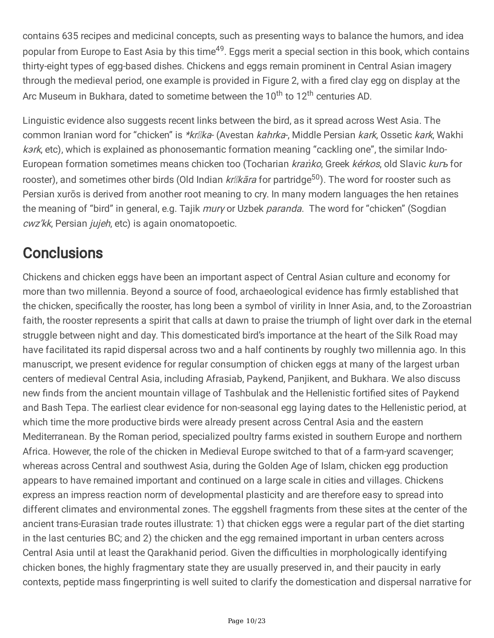contains 635 recipes and medicinal concepts, such as presenting ways to balance the humors, and idea popular from Europe to East Asia by this time<sup>49</sup>. Eggs merit a special section in this book, which contains thirty-eight types of egg-based dishes. Chickens and eggs remain prominent in Central Asian imagery through the medieval period, one example is provided in Figure 2, with a fired clay egg on display at the Arc Museum in Bukhara, dated to sometime between the 10<sup>th</sup> to 12<sup>th</sup> centuries AD.

Linguistic evidence also suggests recent links between the bird, as it spread across West Asia. The common Iranian word for "chicken" is \*kr*Ika*- (Avestan kahrka-, Middle Persian kark, Ossetic kark, Wakhi kark, etc), which is explained as phonosemantic formation meaning "cackling one", the similar Indo-European formation sometimes means chicken too (Tocharian kraṅko, Greek kérkos, old Slavic kur<sup>ъ</sup> for rooster), and sometimes other birds (Old Indian *kr⊠kāra* for partridge<sup>50</sup>). The word for rooster such as Persian xurōs is derived from another root meaning to cry. In many modern languages the hen retaines the meaning of "bird" in general, e.g. Tajik *mury* or Uzbek *paranda*. The word for "chicken" (Sogdian cwz'kk, Persian jujeh, etc) is again onomatopoetic.

## **Conclusions**

Chickens and chicken eggs have been an important aspect of Central Asian culture and economy for more than two millennia. Beyond a source of food, archaeological evidence has firmly established that the chicken, specifically the rooster, has long been a symbol of virility in Inner Asia, and, to the Zoroastrian faith, the rooster represents a spirit that calls at dawn to praise the triumph of light over dark in the eternal struggle between night and day. This domesticated bird's importance at the heart of the Silk Road may have facilitated its rapid dispersal across two and a half continents by roughly two millennia ago. In this manuscript, we present evidence for regular consumption of chicken eggs at many of the largest urban centers of medieval Central Asia, including Afrasiab, Paykend, Panjikent, and Bukhara. We also discuss new finds from the ancient mountain village of Tashbulak and the Hellenistic fortified sites of Paykend and Bash Tepa. The earliest clear evidence for non-seasonal egg laying dates to the Hellenistic period, at which time the more productive birds were already present across Central Asia and the eastern Mediterranean. By the Roman period, specialized poultry farms existed in southern Europe and northern Africa. However, the role of the chicken in Medieval Europe switched to that of a farm-yard scavenger; whereas across Central and southwest Asia, during the Golden Age of Islam, chicken egg production appears to have remained important and continued on a large scale in cities and villages. Chickens express an impress reaction norm of developmental plasticity and are therefore easy to spread into different climates and environmental zones. The eggshell fragments from these sites at the center of the ancient trans-Eurasian trade routes illustrate: 1) that chicken eggs were a regular part of the diet starting in the last centuries BC; and 2) the chicken and the egg remained important in urban centers across Central Asia until at least the Qarakhanid period. Given the difficulties in morphologically identifying chicken bones, the highly fragmentary state they are usually preserved in, and their paucity in early contexts, peptide mass fingerprinting is well suited to clarify the domestication and dispersal narrative for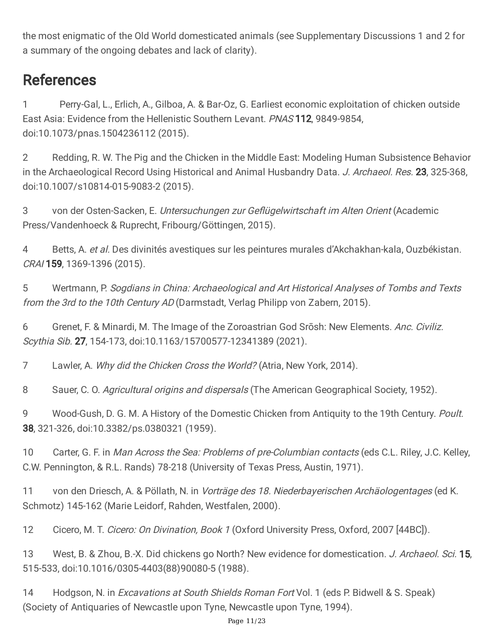the most enigmatic of the Old World domesticated animals (see Supplementary Discussions 1 and 2 for a summary of the ongoing debates and lack of clarity).

## References

1 Perry-Gal, L., Erlich, A., Gilboa, A. & Bar-Oz, G. Earliest economic exploitation of chicken outside East Asia: Evidence from the Hellenistic Southern Levant. PNAS 112, 9849-9854, doi:10.1073/pnas.1504236112 (2015).

2 Redding, R. W. The Pig and the Chicken in the Middle East: Modeling Human Subsistence Behavior in the Archaeological Record Using Historical and Animal Husbandry Data. J. Archaeol. Res. 23, 325-368, doi:10.1007/s10814-015-9083-2 (2015).

3 von der Osten-Sacken, E. Untersuchungen zur Geflügelwirtschaft im Alten Orient (Academic Press/Vandenhoeck & Ruprecht, Fribourg/Göttingen, 2015).

4 Betts, A. et al. Des divinités avestiques sur les peintures murales d'Akchakhan-kala, Ouzbékistan. CRAI 159, 1369-1396 (2015).

5 Wertmann, P. Sogdians in China: Archaeological and Art Historical Analyses of Tombs and Texts from the 3rd to the 10th Century AD (Darmstadt, Verlag Philipp von Zabern, 2015).

6 Grenet, F. & Minardi, M. The Image of the Zoroastrian God Srōsh: New Elements. Anc. Civiliz. Scythia Sib. 27, 154-173, doi:10.1163/15700577-12341389 (2021).

7 Lawler, A. Why did the Chicken Cross the World? (Atria, New York, 2014).

8 Sauer, C. O. Agricultural origins and dispersals (The American Geographical Society, 1952).

9 Wood-Gush, D. G. M. A History of the Domestic Chicken from Antiquity to the 19th Century. Poult. 38, 321-326, doi:10.3382/ps.0380321 (1959).

10 Carter, G. F. in *Man Across the Sea: Problems of pre-Columbian contacts* (eds C.L. Riley, J.C. Kelley, C.W. Pennington, & R.L. Rands) 78-218 (University of Texas Press, Austin, 1971).

11 von den Driesch, A. & Pöllath, N. in Vorträge des 18. Niederbayerischen Archäologentages (ed K. Schmotz) 145-162 (Marie Leidorf, Rahden, Westfalen, 2000).

12 Cicero, M. T. Cicero: On Divination, Book 1 (Oxford University Press, Oxford, 2007 [44BC]).

13 West, B. & Zhou, B.-X. Did chickens go North? New evidence for domestication. J. Archaeol. Sci. 15, 515-533, doi:10.1016/0305-4403(88)90080-5 (1988).

14 Hodgson, N. in Excavations at South Shields Roman Fort Vol. 1 (eds P. Bidwell & S. Speak) (Society of Antiquaries of Newcastle upon Tyne, Newcastle upon Tyne, 1994).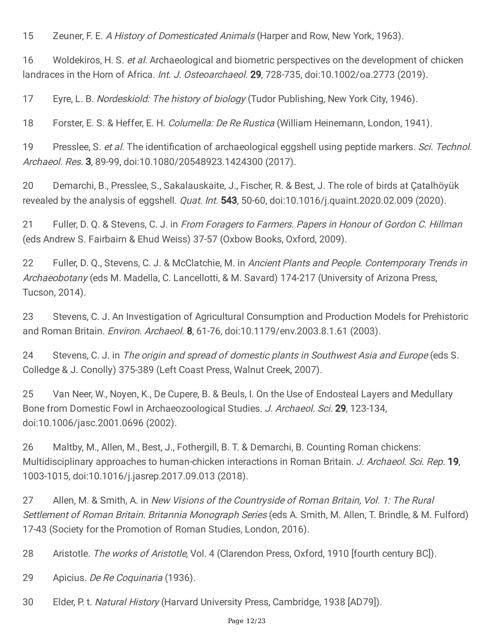15 Zeuner, F. E. A History of Domesticated Animals (Harper and Row, New York, 1963).

16 Woldekiros, H. S. et al. Archaeological and biometric perspectives on the development of chicken landraces in the Horn of Africa. Int. J. Osteoarchaeol. **29**, 728-735, doi:10.1002/oa.2773 (2019).

17 Eyre, L. B. Nordeskiold: The history of biology (Tudor Publishing, New York City, 1946).

18 Forster, E. S. & Heffer, E. H. Columella: De Re Rustica (William Heinemann, London, 1941).

19 Presslee, S. et al. The identification of archaeological eggshell using peptide markers. Sci. Technol. Archaeol. Res. 3, 89-99, doi:10.1080/20548923.1424300 (2017).

20 Demarchi, B., Presslee, S., Sakalauskaite, J., Fischer, R. & Best, J. The role of birds at Çatalhöyük revealed by the analysis of eggshell. *Quat. Int.* 543, 50-60, doi:10.1016/j.quaint.2020.02.009 (2020).

21 Fuller, D. Q. & Stevens, C. J. in From Foragers to Farmers. Papers in Honour of Gordon C. Hillman (eds Andrew S. Fairbairn & Ehud Weiss) 37-57 (Oxbow Books, Oxford, 2009).

22 Fuller, D. Q., Stevens, C. J. & McClatchie, M. in Ancient Plants and People. Contemporary Trends in Archaeobotany (eds M. Madella, C. Lancellotti, & M. Savard) 174-217 (University of Arizona Press, Tucson, 2014).

23 Stevens, C. J. An Investigation of Agricultural Consumption and Production Models for Prehistoric and Roman Britain. Environ. Archaeol. 8, 61-76, doi:10.1179/env.2003.8.1.61 (2003).

24 Stevens, C. J. in The origin and spread of domestic plants in Southwest Asia and Europe (eds S. Colledge & J. Conolly) 375-389 (Left Coast Press, Walnut Creek, 2007).

25 Van Neer, W., Noyen, K., De Cupere, B. & Beuls, I. On the Use of Endosteal Layers and Medullary Bone from Domestic Fowl in Archaeozoological Studies. J. Archaeol. Sci. 29, 123-134, doi:10.1006/jasc.2001.0696 (2002).

26 Maltby, M., Allen, M., Best, J., Fothergill, B. T. & Demarchi, B. Counting Roman chickens: Multidisciplinary approaches to human-chicken interactions in Roman Britain. J. Archaeol. Sci. Rep. 19, 1003-1015, doi:10.1016/j.jasrep.2017.09.013 (2018).

27 Allen, M. & Smith, A. in New Visions of the Countryside of Roman Britain, Vol. 1: The Rural Settlement of Roman Britain. Britannia Monograph Series (eds A. Smith, M. Allen, T. Brindle, & M. Fulford) 17-43 (Society for the Promotion of Roman Studies, London, 2016).

28 Aristotle. The works of Aristotle, Vol. 4 (Clarendon Press, Oxford, 1910 [fourth century BC]).

29 Apicius. De Re Coquinaria (1936).

30 Elder, P. t. Natural History (Harvard University Press, Cambridge, 1938 [AD79]).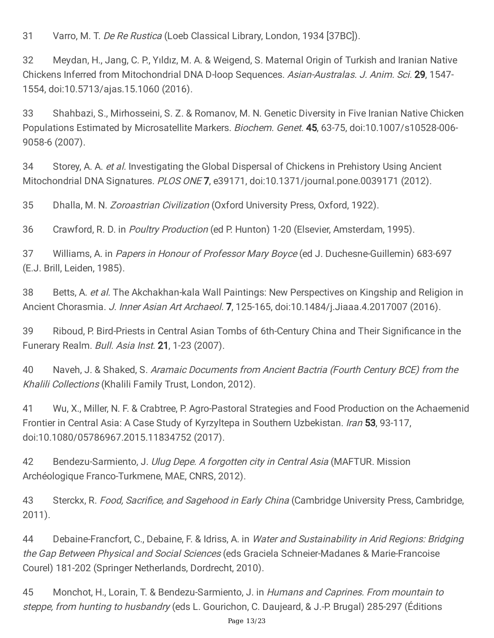31 Varro, M. T. De Re Rustica (Loeb Classical Library, London, 1934 [37BC]).

32 Meydan, H., Jang, C. P., Yıldız, M. A. & Weigend, S. Maternal Origin of Turkish and Iranian Native Chickens Inferred from Mitochondrial DNA D-loop Sequences. Asian-Australas. J. Anim. Sci. 29, 1547- 1554, doi:10.5713/ajas.15.1060 (2016).

33 Shahbazi, S., Mirhosseini, S. Z. & Romanov, M. N. Genetic Diversity in Five Iranian Native Chicken Populations Estimated by Microsatellite Markers. Biochem. Genet. 45, 63-75, doi:10.1007/s10528-006-9058-6 (2007).

34 Storey, A. A. et al. Investigating the Global Dispersal of Chickens in Prehistory Using Ancient Mitochondrial DNA Signatures. PLOS ONE 7, e39171, doi:10.1371/journal.pone.0039171 (2012).

35 Dhalla, M. N. Zoroastrian Civilization (Oxford University Press, Oxford, 1922).

36 Crawford, R. D. in Poultry Production (ed P. Hunton) 1-20 (Elsevier. Amsterdam. 1995).

37 Williams, A. in Papers in Honour of Professor Mary Boyce (ed J. Duchesne-Guillemin) 683-697 (E.J. Brill, Leiden, 1985).

38 Betts, A. et al. The Akchakhan-kala Wall Paintings: New Perspectives on Kingship and Religion in Ancient Chorasmia. J. Inner Asian Art Archaeol. 7, 125-165, doi:10.1484/j.Jiaaa.4.2017007 (2016).

39 Riboud, P. Bird-Priests in Central Asian Tombs of 6th-Century China and Their Significance in the Funerary Realm. Bull. Asia Inst. 21, 1-23 (2007).

40 Naveh, J. & Shaked, S. Aramaic Documents from Ancient Bactria (Fourth Century BCE) from the Khalili Collections (Khalili Family Trust, London, 2012).

41 Wu, X., Miller, N. F. & Crabtree, P. Agro-Pastoral Strategies and Food Production on the Achaemenid Frontier in Central Asia: A Case Study of Kyrzyltepa in Southern Uzbekistan. Iran 53, 93-117, doi:10.1080/05786967.2015.11834752 (2017).

42 Bendezu-Sarmiento, J. Ulug Depe. A forgotten city in Central Asia (MAFTUR. Mission Archéologique Franco-Turkmene, MAE, CNRS, 2012).

43 Sterckx, R. Food, Sacrifice, and Sagehood in Early China (Cambridge University Press, Cambridge, 2011).

44 Debaine-Francfort, C., Debaine, F. & Idriss, A. in Water and Sustainability in Arid Regions: Bridging the Gap Between Physical and Social Sciences (eds Graciela Schneier-Madanes & Marie-Francoise Courel) 181-202 (Springer Netherlands, Dordrecht, 2010).

45 Monchot, H., Lorain, T. & Bendezu-Sarmiento, J. in Humans and Caprines. From mountain to steppe, from hunting to husbandry (eds L. Gourichon, C. Daujeard, & J.-P. Brugal) 285-297 (Éditions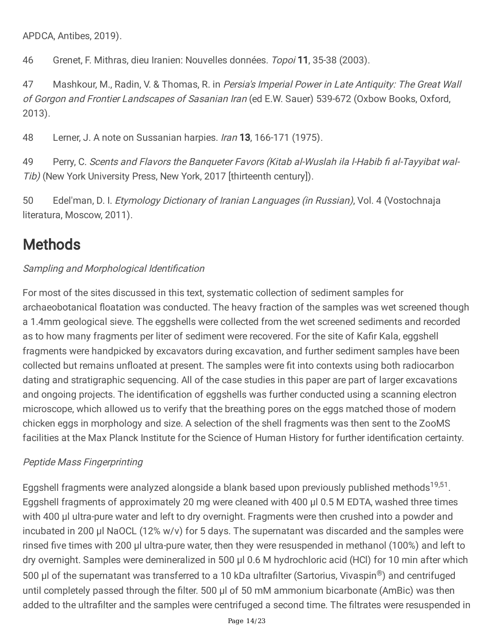APDCA, Antibes, 2019).

46 Grenet, F. Mithras, dieu Iranien: Nouvelles données. Topoi 11, 35-38 (2003).

47 Mashkour, M., Radin, V. & Thomas, R. in Persia's Imperial Power in Late Antiquity: The Great Wall of Gorgon and Frontier Landscapes of Sasanian Iran (ed E.W. Sauer) 539-672 (Oxbow Books, Oxford, 2013).

48 Lerner, J. A note on Sussanian harpies. *Iran* **13**, 166-171 (1975).

49 Perry, C. Scents and Flavors the Banqueter Favors (Kitab al-Wuslah ila l-Habib fi al-Tayyibat wal-Tib) (New York University Press, New York, 2017 [thirteenth century]).

50 Edel'man, D. I. *Etymology Dictionary of Iranian Languages (in Russian)*, Vol. 4 (Vostochnaja literatura, Moscow, 2011).

## **Methods**

## Sampling and Morphological Identification

For most of the sites discussed in this text, systematic collection of sediment samples for archaeobotanical floatation was conducted. The heavy fraction of the samples was wet screened though a 1.4mm geological sieve. The eggshells were collected from the wet screened sediments and recorded as to how many fragments per liter of sediment were recovered. For the site of Kafir Kala, eggshell fragments were handpicked by excavators during excavation, and further sediment samples have been collected but remains unfloated at present. The samples were fit into contexts using both radiocarbon dating and stratigraphic sequencing. All of the case studies in this paper are part of larger excavations and ongoing projects. The identification of eggshells was further conducted using a scanning electron microscope, which allowed us to verify that the breathing pores on the eggs matched those of modern chicken eggs in morphology and size. A selection of the shell fragments was then sent to the ZooMS facilities at the Max Planck Institute for the Science of Human History for further identification certainty.

## Peptide Mass Fingerprinting

Eggshell fragments were analyzed alongside a blank based upon previously published methods<sup>19,51</sup>. Eggshell fragments of approximately 20 mg were cleaned with 400 µl 0.5 M EDTA, washed three times with 400 µl ultra-pure water and left to dry overnight. Fragments were then crushed into a powder and incubated in 200 µl NaOCL (12% w/v) for 5 days. The supernatant was discarded and the samples were rinsed five times with 200 µl ultra-pure water, then they were resuspended in methanol (100%) and left to dry overnight. Samples were demineralized in 500 µl 0.6 M hydrochloric acid (HCl) for 10 min after which 500 µl of the supernatant was transferred to a 10 kDa ultrafilter (Sartorius, Vivaspin®) and centrifuged until completely passed through the filter. 500 µl of 50 mM ammonium bicarbonate (AmBic) was then added to the ultrafilter and the samples were centrifuged a second time. The filtrates were resuspended in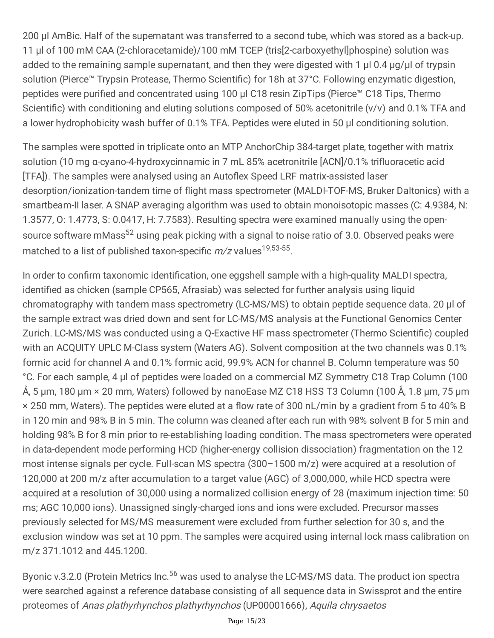200 µl AmBic. Half of the supernatant was transferred to a second tube, which was stored as a back-up. 11 µl of 100 mM CAA (2-chloracetamide)/100 mM TCEP (tris[2-carboxyethyl]phospine) solution was added to the remaining sample supernatant, and then they were digested with 1 µl 0.4 µg/µl of trypsin solution (Pierce<sup>™</sup> Trypsin Protease, Thermo Scientific) for 18h at 37°C. Following enzymatic digestion, peptides were purified and concentrated using 100 µl C18 resin ZipTips (Pierce™ C18 Tips, Thermo Scientific) with conditioning and eluting solutions composed of 50% acetonitrile (v/v) and 0.1% TFA and a lower hydrophobicity wash buffer of 0.1% TFA. Peptides were eluted in 50 µl conditioning solution.

The samples were spotted in triplicate onto an MTP AnchorChip 384-target plate, together with matrix solution (10 mg α-cyano-4-hydroxycinnamic in 7 mL 85% acetronitrile [ACN]/0.1% trifluoracetic acid [TFA]). The samples were analysed using an Autoflex Speed LRF matrix-assisted laser desorption/ionization-tandem time of flight mass spectrometer (MALDI-TOF-MS, Bruker Daltonics) with a smartbeam-II laser. A SNAP averaging algorithm was used to obtain monoisotopic masses (C: 4.9384, N: 1.3577, O: 1.4773, S: 0.0417, H: 7.7583). Resulting spectra were examined manually using the opensource software mMass<sup>52</sup> using peak picking with a signal to noise ratio of 3.0. Observed peaks were matched to a list of published taxon-specific  $m/z$  values<sup>19,53-55</sup>.

In order to confirm taxonomic identification, one eggshell sample with a high-quality MALDI spectra, identified as chicken (sample CP565, Afrasiab) was selected for further analysis using liquid chromatography with tandem mass spectrometry (LC-MS/MS) to obtain peptide sequence data. 20 µl of the sample extract was dried down and sent for LC-MS/MS analysis at the Functional Genomics Center Zurich. LC-MS/MS was conducted using a Q-Exactive HF mass spectrometer (Thermo Scientific) coupled with an ACQUITY UPLC M-Class system (Waters AG). Solvent composition at the two channels was 0.1% formic acid for channel A and 0.1% formic acid, 99.9% ACN for channel B. Column temperature was 50 °C. For each sample, 4 μl of peptides were loaded on a commercial MZ Symmetry C18 Trap Column (100 Å, 5 μm, 180 μm × 20 mm, Waters) followed by nanoEase MZ C18 HSS T3 Column (100 Å, 1.8 μm, 75 μm × 250 mm, Waters). The peptides were eluted at a flow rate of 300 nL/min by a gradient from 5 to 40% B in 120 min and 98% B in 5 min. The column was cleaned after each run with 98% solvent B for 5 min and holding 98% B for 8 min prior to re-establishing loading condition. The mass spectrometers were operated in data-dependent mode performing HCD (higher-energy collision dissociation) fragmentation on the 12 most intense signals per cycle. Full-scan MS spectra (300–1500 m/z) were acquired at a resolution of 120,000 at 200 m/z after accumulation to a target value (AGC) of 3,000,000, while HCD spectra were acquired at a resolution of 30,000 using a normalized collision energy of 28 (maximum injection time: 50 ms; AGC 10,000 ions). Unassigned singly-charged ions and ions were excluded. Precursor masses previously selected for MS/MS measurement were excluded from further selection for 30 s, and the exclusion window was set at 10 ppm. The samples were acquired using internal lock mass calibration on m/z 371.1012 and 445.1200.

Byonic v.3.2.0 (Protein Metrics Inc.<sup>56</sup> was used to analyse the LC-MS/MS data. The product ion spectra were searched against a reference database consisting of all sequence data in Swissprot and the entire proteomes of Anas plathyrhynchos plathyrhynchos (UP00001666), Aquila chrysaetos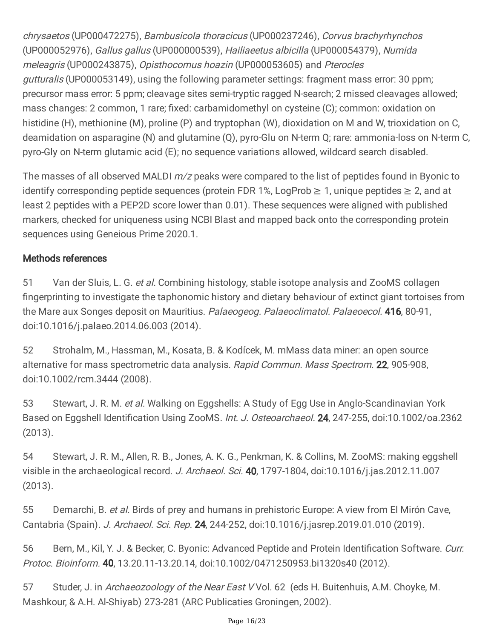chrysaetos (UP000472275), Bambusicola thoracicus (UP000237246), Corvus brachyrhynchos (UP000052976), Gallus gallus (UP000000539), Hailiaeetus albicilla (UP000054379), Numida meleagris (UP000243875), Opisthocomus hoazin (UP000053605) and Pterocles gutturalis (UP000053149), using the following parameter settings: fragment mass error: 30 ppm; precursor mass error: 5 ppm; cleavage sites semi-tryptic ragged N-search; 2 missed cleavages allowed; mass changes: 2 common, 1 rare; fixed: carbamidomethyl on cysteine (C); common: oxidation on histidine (H), methionine (M), proline (P) and tryptophan (W), dioxidation on M and W, trioxidation on C, deamidation on asparagine (N) and glutamine (Q), pyro-Glu on N-term Q; rare: ammonia-loss on N-term C, pyro-Gly on N-term glutamic acid (E); no sequence variations allowed, wildcard search disabled.

The masses of all observed MALDI  $m/z$  peaks were compared to the list of peptides found in Byonic to identify corresponding peptide sequences (protein FDR 1%, LogProb  $\geq 1$ , unique peptides  $\geq 2$ , and at least 2 peptides with a PEP2D score lower than 0.01). These sequences were aligned with published markers, checked for uniqueness using NCBI Blast and mapped back onto the corresponding protein sequences using Geneious Prime 2020.1.

### Methods references

51 Van der Sluis, L. G. *et al.* Combining histology, stable isotope analysis and ZooMS collagen fingerprinting to investigate the taphonomic history and dietary behaviour of extinct giant tortoises from the Mare aux Songes deposit on Mauritius. Palaeogeog. Palaeoclimatol. Palaeoecol. 416, 80-91, doi:10.1016/j.palaeo.2014.06.003 (2014).

52 Strohalm, M., Hassman, M., Kosata, B. & Kodícek, M. mMass data miner: an open source alternative for mass spectrometric data analysis. Rapid Commun. Mass Spectrom. 22, 905-908, doi:10.1002/rcm.3444 (2008).

53 Stewart, J. R. M. et al. Walking on Eggshells: A Study of Egg Use in Anglo-Scandinavian York Based on Eggshell Identification Using ZooMS. Int. J. Osteoarchaeol. 24, 247-255, doi:10.1002/oa.2362 (2013).

54 Stewart, J. R. M., Allen, R. B., Jones, A. K. G., Penkman, K. & Collins, M. ZooMS: making eggshell visible in the archaeological record. J. Archaeol. Sci. 40, 1797-1804, doi:10.1016/j.jas.2012.11.007 (2013).

55 Demarchi, B. et al. Birds of prey and humans in prehistoric Europe: A view from El Mirón Cave, Cantabria (Spain). J. Archaeol. Sci. Rep. 24, 244-252, doi:10.1016/j.jasrep.2019.01.010 (2019).

56 Bern, M., Kil, Y. J. & Becker, C. Byonic: Advanced Peptide and Protein Identification Software. Curr. Protoc. Bioinform. 40, 13.20.11-13.20.14, doi:10.1002/0471250953.bi1320s40 (2012).

57 Studer, J. in Archaeozoology of the Near East V Vol. 62 (eds H. Buitenhuis, A.M. Choyke, M. Mashkour, & A.H. Al-Shiyab) 273-281 (ARC Publicaties Groningen, 2002).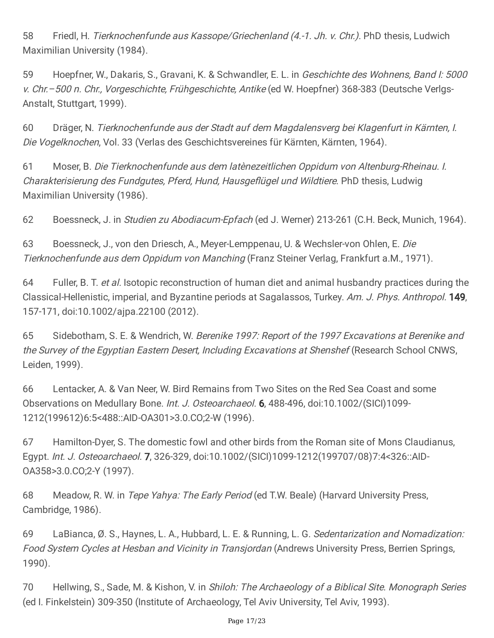58 Friedl, H. Tierknochenfunde aus Kassope/Griechenland (4.-1. Jh. v. Chr.). PhD thesis, Ludwich Maximilian University (1984).

59 Hoepfner, W., Dakaris, S., Gravani, K. & Schwandler, E. L. in Geschichte des Wohnens, Band I: 5000 v. Chr.–500 n. Chr., Vorgeschichte, Frühgeschichte, Antike (ed W. Hoepfner) 368-383 (Deutsche Verlgs-Anstalt, Stuttgart, 1999).

60 Dräger, N. Tierknochenfunde aus der Stadt auf dem Magdalensverg bei Klagenfurt in Kärnten, I. Die Vogelknochen, Vol. 33 (Verlas des Geschichtsvereines für Kärnten, Kärnten, 1964).

61 Moser, B. Die Tierknochenfunde aus dem latènezeitlichen Oppidum von Altenburg-Rheinau. I. Charakterisierung des Fundgutes, Pferd, Hund, Hausgeflügel und Wildtiere. PhD thesis, Ludwig Maximilian University (1986).

62 Boessneck, J. in Studien zu Abodiacum-Epfach (ed J. Werner) 213-261 (C.H. Beck, Munich, 1964).

63 Boessneck, J., von den Driesch, A., Meyer-Lemppenau, U. & Wechsler-von Ohlen, E. Die Tierknochenfunde aus dem Oppidum von Manching (Franz Steiner Verlag, Frankfurt a.M., 1971).

64 Fuller, B. T. et al. Isotopic reconstruction of human diet and animal husbandry practices during the Classical-Hellenistic, imperial, and Byzantine periods at Sagalassos, Turkey. Am. J. Phys. Anthropol. 149, 157-171, doi:10.1002/ajpa.22100 (2012).

65 Sidebotham, S. E. & Wendrich, W. Berenike 1997: Report of the 1997 Excavations at Berenike and the Survey of the Egyptian Eastern Desert, Including Excavations at Shenshef (Research School CNWS, Leiden, 1999).

66 Lentacker, A. & Van Neer, W. Bird Remains from Two Sites on the Red Sea Coast and some Observations on Medullary Bone. Int. J. Osteoarchaeol. 6, 488-496, doi:10.1002/(SICI)1099-1212(199612)6:5<488::AID-OA301>3.0.CO;2-W (1996).

67 Hamilton-Dyer, S. The domestic fowl and other birds from the Roman site of Mons Claudianus, Egypt. Int. J. Osteoarchaeol. 7, 326-329, doi:10.1002/(SICI)1099-1212(199707/08)7:4<326::AID-OA358>3.0.CO;2-Y (1997).

68 Meadow, R. W. in Tepe Yahya: The Early Period (ed T.W. Beale) (Harvard University Press, Cambridge, 1986).

69 LaBianca, Ø. S., Haynes, L. A., Hubbard, L. E. & Running, L. G. Sedentarization and Nomadization: Food System Cycles at Hesban and Vicinity in Transjordan (Andrews University Press, Berrien Springs, 1990).

70 Hellwing, S., Sade, M. & Kishon, V. in Shiloh: The Archaeology of a Biblical Site. Monograph Series (ed I. Finkelstein) 309-350 (Institute of Archaeology, Tel Aviv University, Tel Aviv, 1993).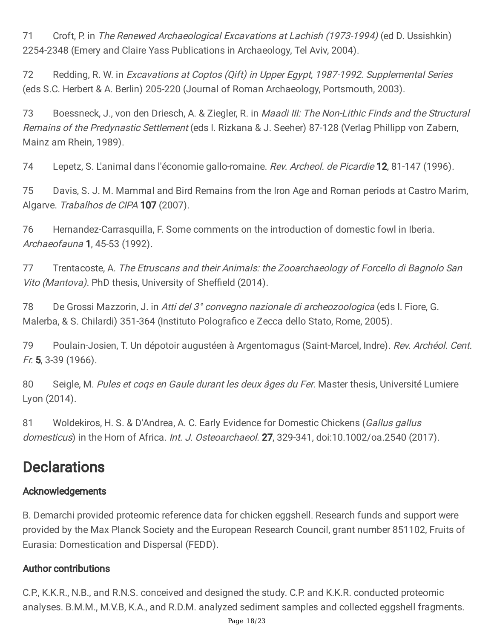71 Croft, P. in The Renewed Archaeological Excavations at Lachish (1973-1994) (ed D. Ussishkin) 2254-2348 (Emery and Claire Yass Publications in Archaeology, Tel Aviv, 2004).

72 Redding, R. W. in Excavations at Coptos (Qift) in Upper Egypt, 1987-1992. Supplemental Series (eds S.C. Herbert & A. Berlin) 205-220 (Journal of Roman Archaeology, Portsmouth, 2003).

73 Boessneck, J., von den Driesch, A. & Ziegler, R. in Maadi III: The Non-Lithic Finds and the Structural Remains of the Predynastic Settlement (eds I. Rizkana & J. Seeher) 87-128 (Verlag Phillipp von Zabern, Mainz am Rhein, 1989).

74 Lepetz, S. L'animal dans l'économie gallo-romaine. Rev. Archeol. de Picardie 12, 81-147 (1996).

75 Davis, S. J. M. Mammal and Bird Remains from the Iron Age and Roman periods at Castro Marim, Algarve. Trabalhos de CIPA 107 (2007).

76 Hernandez-Carrasquilla, F. Some comments on the introduction of domestic fowl in Iberia. Archaeofauna 1, 45-53 (1992).

77 Trentacoste, A. The Etruscans and their Animals: the Zooarchaeology of Forcello di Bagnolo San Vito (Mantova). PhD thesis, University of Sheffield (2014).

78 De Grossi Mazzorin, J. in Atti del 3° convegno nazionale di archeozoologica (eds I. Fiore, G. Malerba, & S. Chilardi) 351-364 (Instituto Polografico e Zecca dello Stato, Rome, 2005).

79 Poulain-Josien, T. Un dépotoir augustéen à Argentomagus (Saint-Marcel, Indre). Rev. Archéol. Cent. Fr. 5, 3-39 (1966).

80 Seigle, M. Pules et cogs en Gaule durant les deux âges du Fer. Master thesis, Université Lumiere Lyon (2014).

81 Woldekiros, H. S. & D'Andrea, A. C. Early Evidence for Domestic Chickens (Gallus gallus domesticus) in the Horn of Africa. Int. J. Osteoarchaeol. 27, 329-341, doi:10.1002/oa.2540 (2017).

## **Declarations**

## Acknowledgements

B. Demarchi provided proteomic reference data for chicken eggshell. Research funds and support were provided by the Max Planck Society and the European Research Council, grant number 851102, Fruits of Eurasia: Domestication and Dispersal (FEDD).

## Author contributions

C.P., K.K.R., N.B., and R.N.S. conceived and designed the study. C.P. and K.K.R. conducted proteomic analyses. B.M.M., M.V.B, K.A., and R.D.M. analyzed sediment samples and collected eggshell fragments.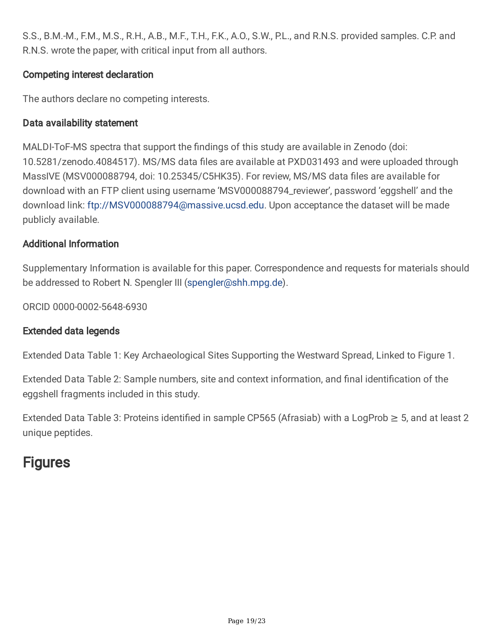S.S., B.M.-M., F.M., M.S., R.H., A.B., M.F., T.H., F.K., A.O., S.W., P.L., and R.N.S. provided samples. C.P. and R.N.S. wrote the paper, with critical input from all authors.

### Competing interest declaration

The authors declare no competing interests.

### Data availability statement

MALDI-ToF-MS spectra that support the findings of this study are available in Zenodo (doi: 10.5281/zenodo.4084517). MS/MS data files are available at PXD031493 and were uploaded through MassIVE (MSV000088794, doi: 10.25345/C5HK35). For review, MS/MS data files are available for download with an FTP client using username 'MSV000088794\_reviewer', password 'eggshell' and the download link: [ftp://MSV000088794@massive.ucsd.edu.](ftp://MSV000088794@massive.ucsd.edu/) Upon acceptance the dataset will be made publicly available.

### Additional Information

Supplementary Information is available for this paper. Correspondence and requests for materials should be addressed to Robert N. Spengler III [\(spengler@shh.mpg.de](mailto:spengler@shh.mpg.de)).

ORCID 0000-0002-5648-6930

### Extended data legends

Extended Data Table 1: Key Archaeological Sites Supporting the Westward Spread, Linked to Figure 1.

Extended Data Table 2: Sample numbers, site and context information, and final identification of the eggshell fragments included in this study.

Extended Data Table 3: Proteins identified in sample CP565 (Afrasiab) with a LogProb  $\geq 5$ , and at least 2 unique peptides.

## **Figures**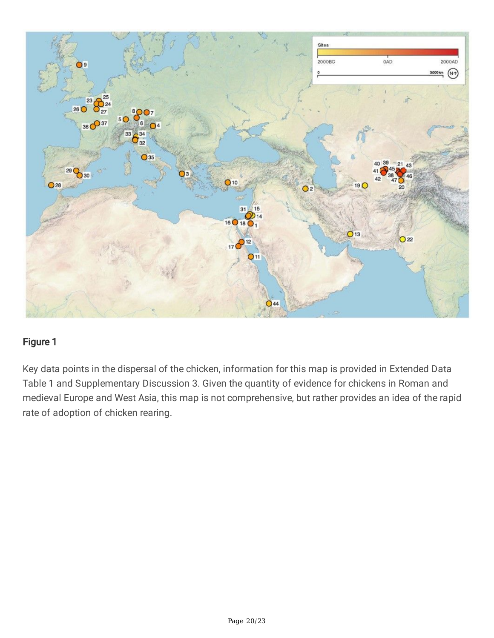

Key data points in the dispersal of the chicken, information for this map is provided in Extended Data Table 1 and Supplementary Discussion 3. Given the quantity of evidence for chickens in Roman and medieval Europe and West Asia, this map is not comprehensive, but rather provides an idea of the rapid rate of adoption of chicken rearing.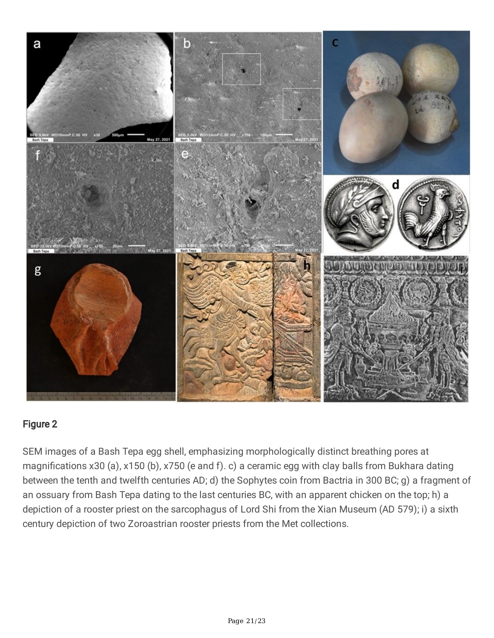

SEM images of a Bash Tepa egg shell, emphasizing morphologically distinct breathing pores at magnifications x30 (a), x150 (b), x750 (e and f). c) a ceramic egg with clay balls from Bukhara dating between the tenth and twelfth centuries AD; d) the Sophytes coin from Bactria in 300 BC; g) a fragment of an ossuary from Bash Tepa dating to the last centuries BC, with an apparent chicken on the top; h) a depiction of a rooster priest on the sarcophagus of Lord Shi from the Xian Museum (AD 579); i) a sixth century depiction of two Zoroastrian rooster priests from the Met collections.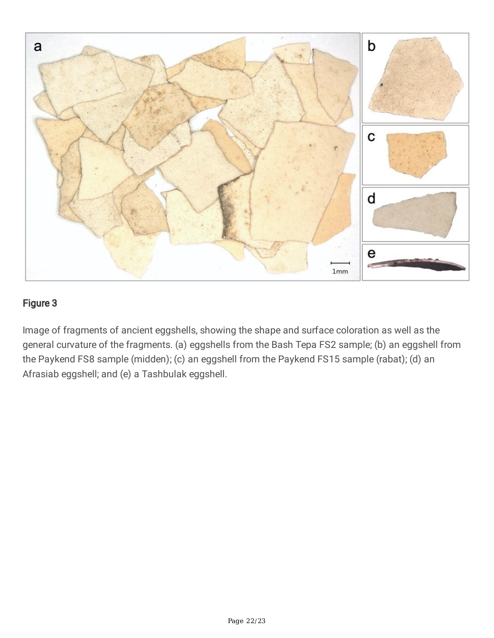

Image of fragments of ancient eggshells, showing the shape and surface coloration as well as the general curvature of the fragments. (a) eggshells from the Bash Tepa FS2 sample; (b) an eggshell from the Paykend FS8 sample (midden); (c) an eggshell from the Paykend FS15 sample (rabat); (d) an Afrasiab eggshell; and (e) a Tashbulak eggshell.